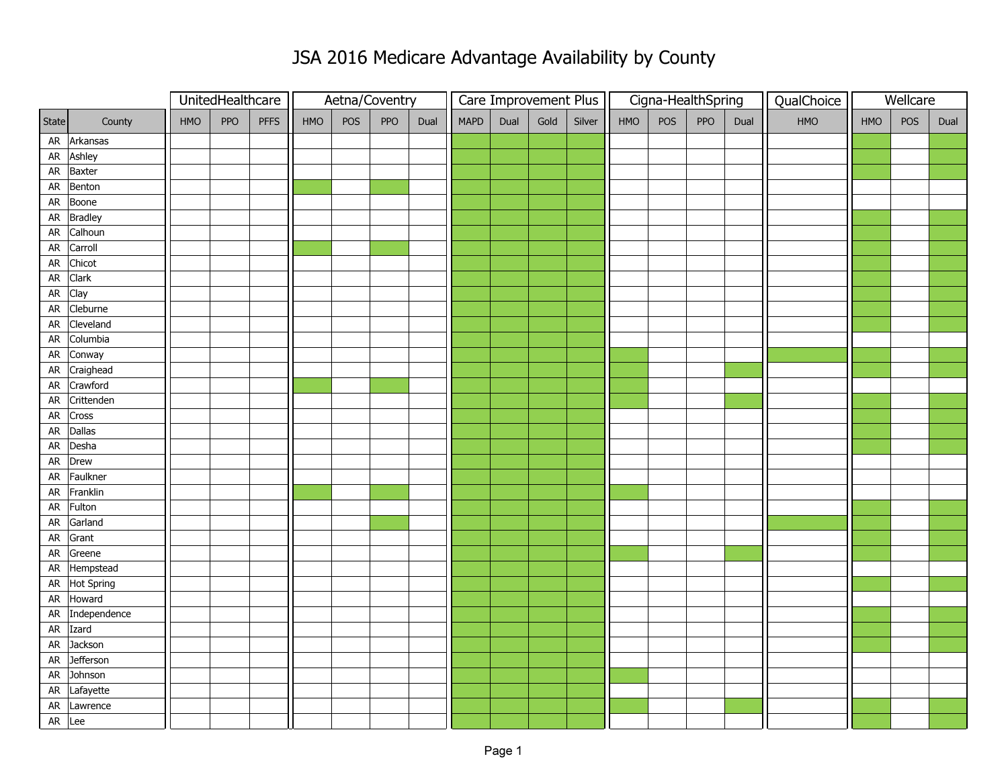## JSA 2016 Medicare Advantage Availability by County

|            |              |     | UnitedHealthcare |             | Aetna/Coventry |     |     |      | Care Improvement Plus |      |      |        | Cigna-HealthSpring |     |     |      | QualChoice | Wellcare |     |      |
|------------|--------------|-----|------------------|-------------|----------------|-----|-----|------|-----------------------|------|------|--------|--------------------|-----|-----|------|------------|----------|-----|------|
| State      | County       | HMO | <b>PPO</b>       | <b>PFFS</b> | HMO            | POS | PPO | Dual | <b>MAPD</b>           | Dual | Gold | Silver | HMO                | POS | PPO | Dual | HMO        | HMO      | POS | Dual |
|            | AR Arkansas  |     |                  |             |                |     |     |      |                       |      |      |        |                    |     |     |      |            |          |     |      |
| ${\sf AR}$ | Ashley       |     |                  |             |                |     |     |      |                       |      |      |        |                    |     |     |      |            |          |     |      |
| AR         | Baxter       |     |                  |             |                |     |     |      |                       |      |      |        |                    |     |     |      |            |          |     |      |
| ${\sf AR}$ | Benton       |     |                  |             |                |     |     |      |                       |      |      |        |                    |     |     |      |            |          |     |      |
| AR         | Boone        |     |                  |             |                |     |     |      |                       |      |      |        |                    |     |     |      |            |          |     |      |
| ${\sf AR}$ | Bradley      |     |                  |             |                |     |     |      |                       |      |      |        |                    |     |     |      |            |          |     |      |
| ${\sf AR}$ | Calhoun      |     |                  |             |                |     |     |      |                       |      |      |        |                    |     |     |      |            |          |     |      |
| ${\sf AR}$ | Carroll      |     |                  |             |                |     |     |      |                       |      |      |        |                    |     |     |      |            |          |     |      |
| ${\sf AR}$ | Chicot       |     |                  |             |                |     |     |      |                       |      |      |        |                    |     |     |      |            |          |     |      |
| ${\sf AR}$ | Clark        |     |                  |             |                |     |     |      |                       |      |      |        |                    |     |     |      |            |          |     |      |
| ${\sf AR}$ | Clay         |     |                  |             |                |     |     |      |                       |      |      |        |                    |     |     |      |            |          |     |      |
| ${\sf AR}$ | Cleburne     |     |                  |             |                |     |     |      |                       |      |      |        |                    |     |     |      |            |          |     |      |
| AR         | Cleveland    |     |                  |             |                |     |     |      |                       |      |      |        |                    |     |     |      |            |          |     |      |
| ${\sf AR}$ | Columbia     |     |                  |             |                |     |     |      |                       |      |      |        |                    |     |     |      |            |          |     |      |
| AR         | Conway       |     |                  |             |                |     |     |      |                       |      |      |        |                    |     |     |      |            |          |     |      |
| ${\sf AR}$ | Craighead    |     |                  |             |                |     |     |      |                       |      |      |        |                    |     |     |      |            |          |     |      |
| ${\sf AR}$ | Crawford     |     |                  |             |                |     |     |      |                       |      |      |        |                    |     |     |      |            |          |     |      |
| ${\sf AR}$ | Crittenden   |     |                  |             |                |     |     |      |                       |      |      |        |                    |     |     |      |            |          |     |      |
| ${\sf AR}$ | Cross        |     |                  |             |                |     |     |      |                       |      |      |        |                    |     |     |      |            |          |     |      |
| AR         | Dallas       |     |                  |             |                |     |     |      |                       |      |      |        |                    |     |     |      |            |          |     |      |
| ${\sf AR}$ | Desha        |     |                  |             |                |     |     |      |                       |      |      |        |                    |     |     |      |            |          |     |      |
| ${\sf AR}$ | Drew         |     |                  |             |                |     |     |      |                       |      |      |        |                    |     |     |      |            |          |     |      |
| ${\sf AR}$ | Faulkner     |     |                  |             |                |     |     |      |                       |      |      |        |                    |     |     |      |            |          |     |      |
| ${\sf AR}$ | Franklin     |     |                  |             |                |     |     |      |                       |      |      |        |                    |     |     |      |            |          |     |      |
| AR         | Fulton       |     |                  |             |                |     |     |      |                       |      |      |        |                    |     |     |      |            |          |     |      |
| AR         | Garland      |     |                  |             |                |     |     |      |                       |      |      |        |                    |     |     |      |            |          |     |      |
| ${\sf AR}$ | Grant        |     |                  |             |                |     |     |      |                       |      |      |        |                    |     |     |      |            |          |     |      |
| ${\sf AR}$ | Greene       |     |                  |             |                |     |     |      |                       |      |      |        |                    |     |     |      |            |          |     |      |
|            | AR Hempstead |     |                  |             |                |     |     |      |                       |      |      |        |                    |     |     |      |            |          |     |      |
| ${\sf AR}$ | Hot Spring   |     |                  |             |                |     |     |      |                       |      |      |        |                    |     |     |      |            |          |     |      |
| AR         | Howard       |     |                  |             |                |     |     |      |                       |      |      |        |                    |     |     |      |            |          |     |      |
| ${\sf AR}$ | Independence |     |                  |             |                |     |     |      |                       |      |      |        |                    |     |     |      |            |          |     |      |
|            | AR Izard     |     |                  |             |                |     |     |      |                       |      |      |        |                    |     |     |      |            |          |     |      |
| ${\sf AR}$ | Jackson      |     |                  |             |                |     |     |      |                       |      |      |        |                    |     |     |      |            |          |     |      |
| ${\sf AR}$ | Jefferson    |     |                  |             |                |     |     |      |                       |      |      |        |                    |     |     |      |            |          |     |      |
| ${\sf AR}$ | Johnson      |     |                  |             |                |     |     |      |                       |      |      |        |                    |     |     |      |            |          |     |      |
| ${\sf AR}$ | Lafayette    |     |                  |             |                |     |     |      |                       |      |      |        |                    |     |     |      |            |          |     |      |
| AR         | Lawrence     |     |                  |             |                |     |     |      |                       |      |      |        |                    |     |     |      |            |          |     |      |
|            | AR Lee       |     |                  |             |                |     |     |      |                       |      |      |        |                    |     |     |      |            |          |     |      |